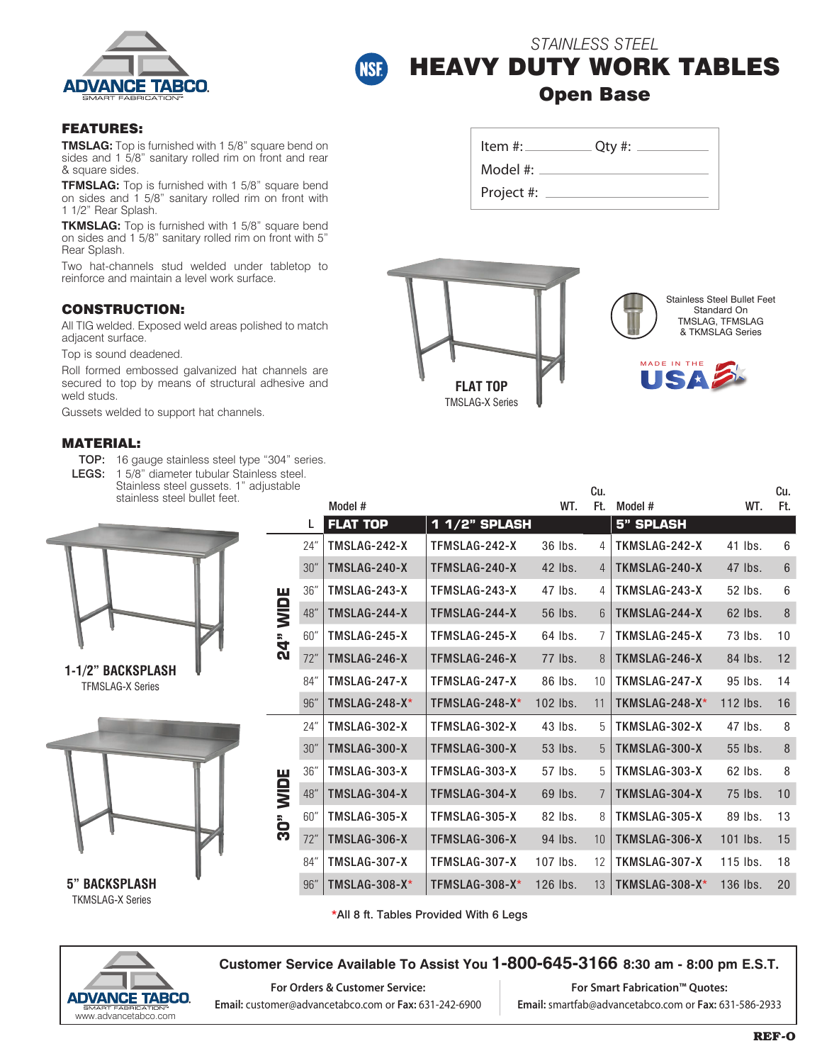



# *STAINLESS STEEL* HEAVY DUTY WORK TABLES Open Base

#### FEATURES:

**TMSLAG:** Top is furnished with 1 5/8" square bend on sides and 1 5/8" sanitary rolled rim on front and rear & square sides.

**TFMSLAG:** Top is furnished with 1 5/8" square bend on sides and 1 5/8" sanitary rolled rim on front with 1 1/2" Rear Splash.

**TKMSLAG:** Top is furnished with 1 5/8" square bend on sides and 1 5/8" sanitary rolled rim on front with 5" Rear Splash.

Two hat-channels stud welded under tabletop to reinforce and maintain a level work surface.

## CONSTRUCTION:

All TIG welded. Exposed weld areas polished to match adjacent surface.

Top is sound deadened.

Roll formed embossed galvanized hat channels are secured to top by means of structural adhesive and weld studs.

Gussets welded to support hat channels.

#### MATERIAL:

- TOP: 16 gauge stainless steel type "304" series.
- LEGS: 1 5/8" diameter tubular Stainless steel.

| Stainless steel gussets. 1" adjustable |  |
|----------------------------------------|--|
| stainless steel bullet feet.           |  |

L





\*All 8 ft. Tables Provided With 6 Legs



**5" BACKSPLASH** TKMSLAG-X Series

### **Customer Service Available To Assist You 1-800-645-3166 8:30 am - 8:00 pm E.S.T.**

**For Orders & Customer Service: Email:** customer@advancetabco.com or **Fax:** 631-242-6900

**For Smart Fabrication™ Quotes: Email:** smartfab@advancetabco.com or **Fax:** 631-586-2933

| Item $#$ : | $Qty$ #: |  |
|------------|----------|--|
| Model #:   |          |  |

Cu.

Project #:



**FLAT TOP 1 1/2" SPLASH 5" SPLASH**

24" TMSLAG-242-X TFMSLAG-242-X 36 lbs. 4 TKMSLAG-242-X 41 lbs. 6

Model # WT.

Stainless Steel Bullet Feet Standard On TMSLAG, TFMSLAG & TKMSLAG Series

> Cu. Ft.



Ft. Model # WT.